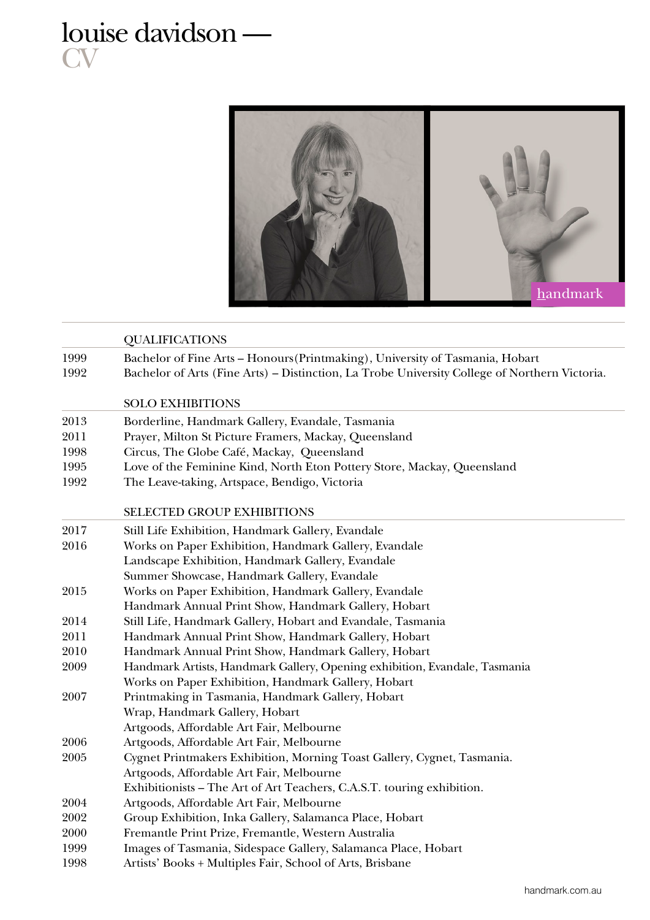## louise davidson — **CV**



|      | <b>QUALIFICATIONS</b>                                                                         |  |
|------|-----------------------------------------------------------------------------------------------|--|
| 1999 | Bachelor of Fine Arts - Honours (Printmaking), University of Tasmania, Hobart                 |  |
| 1992 | Bachelor of Arts (Fine Arts) - Distinction, La Trobe University College of Northern Victoria. |  |
|      | <b>SOLO EXHIBITIONS</b>                                                                       |  |
| 2013 | Borderline, Handmark Gallery, Evandale, Tasmania                                              |  |
| 2011 | Prayer, Milton St Picture Framers, Mackay, Queensland                                         |  |
| 1998 | Circus, The Globe Café, Mackay, Queensland                                                    |  |
| 1995 | Love of the Feminine Kind, North Eton Pottery Store, Mackay, Queensland                       |  |
| 1992 | The Leave-taking, Artspace, Bendigo, Victoria                                                 |  |
|      | <b>SELECTED GROUP EXHIBITIONS</b>                                                             |  |
| 2017 | Still Life Exhibition, Handmark Gallery, Evandale                                             |  |
| 2016 | Works on Paper Exhibition, Handmark Gallery, Evandale                                         |  |
|      | Landscape Exhibition, Handmark Gallery, Evandale                                              |  |
|      | Summer Showcase, Handmark Gallery, Evandale                                                   |  |
| 2015 | Works on Paper Exhibition, Handmark Gallery, Evandale                                         |  |
|      | Handmark Annual Print Show, Handmark Gallery, Hobart                                          |  |
| 2014 | Still Life, Handmark Gallery, Hobart and Evandale, Tasmania                                   |  |
| 2011 | Handmark Annual Print Show, Handmark Gallery, Hobart                                          |  |
| 2010 | Handmark Annual Print Show, Handmark Gallery, Hobart                                          |  |
| 2009 | Handmark Artists, Handmark Gallery, Opening exhibition, Evandale, Tasmania                    |  |
|      | Works on Paper Exhibition, Handmark Gallery, Hobart                                           |  |
| 2007 | Printmaking in Tasmania, Handmark Gallery, Hobart                                             |  |
|      | Wrap, Handmark Gallery, Hobart                                                                |  |
|      | Artgoods, Affordable Art Fair, Melbourne                                                      |  |
| 2006 | Artgoods, Affordable Art Fair, Melbourne                                                      |  |
| 2005 | Cygnet Printmakers Exhibition, Morning Toast Gallery, Cygnet, Tasmania.                       |  |
|      | Artgoods, Affordable Art Fair, Melbourne                                                      |  |
|      | Exhibitionists - The Art of Art Teachers, C.A.S.T. touring exhibition.                        |  |
| 2004 | Artgoods, Affordable Art Fair, Melbourne                                                      |  |
| 2002 | Group Exhibition, Inka Gallery, Salamanca Place, Hobart                                       |  |
| 2000 | Fremantle Print Prize, Fremantle, Western Australia                                           |  |
| 1999 | Images of Tasmania, Sidespace Gallery, Salamanca Place, Hobart                                |  |
| 1998 | Artists' Books + Multiples Fair, School of Arts, Brisbane                                     |  |